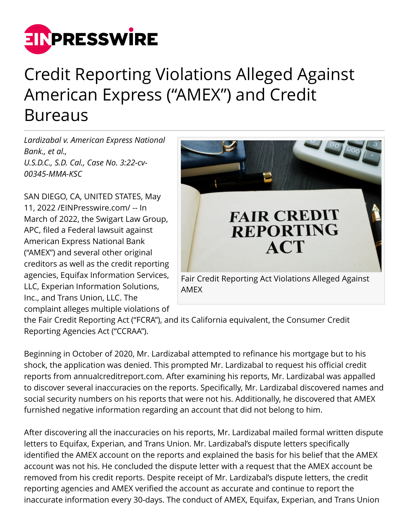

## Credit Reporting Violations Alleged Against American Express ("AMEX") and Credit Bureaus

*Lardizabal v. American Express National Bank., et al., U.S.D.C., S.D. Cal., Case No. 3:22-cv-00345-MMA-KSC*

SAN DIEGO, CA, UNITED STATES, May 11, 2022 /[EINPresswire.com/](http://www.einpresswire.com) -- In March of 2022, the Swigart Law Group, APC, filed a Federal lawsuit against American Express National Bank ("AMEX") and several other original creditors as well as the credit reporting agencies, Equifax Information Services, LLC, Experian Information Solutions, Inc., and Trans Union, LLC. The complaint alleges multiple violations of



AMEX

the Fair Credit Reporting Act ("FCRA"), and its California equivalent, the Consumer Credit Reporting Agencies Act ("CCRAA").

Beginning in October of 2020, Mr. Lardizabal attempted to refinance his mortgage but to his shock, the application was denied. This prompted Mr. Lardizabal to request his official credit reports from annualcreditreport.com. After examining his reports, Mr. Lardizabal was appalled to discover several inaccuracies on the reports. Specifically, Mr. Lardizabal discovered names and social security numbers on his reports that were not his. Additionally, he discovered that AMEX furnished negative information regarding an account that did not belong to him.

After discovering all the inaccuracies on his reports, Mr. Lardizabal mailed formal written dispute letters to Equifax, Experian, and Trans Union. Mr. Lardizabal's dispute letters specifically identified the AMEX account on the reports and explained the basis for his belief that the AMEX account was not his. He concluded the dispute letter with a request that the AMEX account be removed from his credit reports. Despite receipt of Mr. Lardizabal's dispute letters, the credit reporting agencies and AMEX verified the account as accurate and continue to report the inaccurate information every 30-days. The conduct of AMEX, Equifax, Experian, and Trans Union